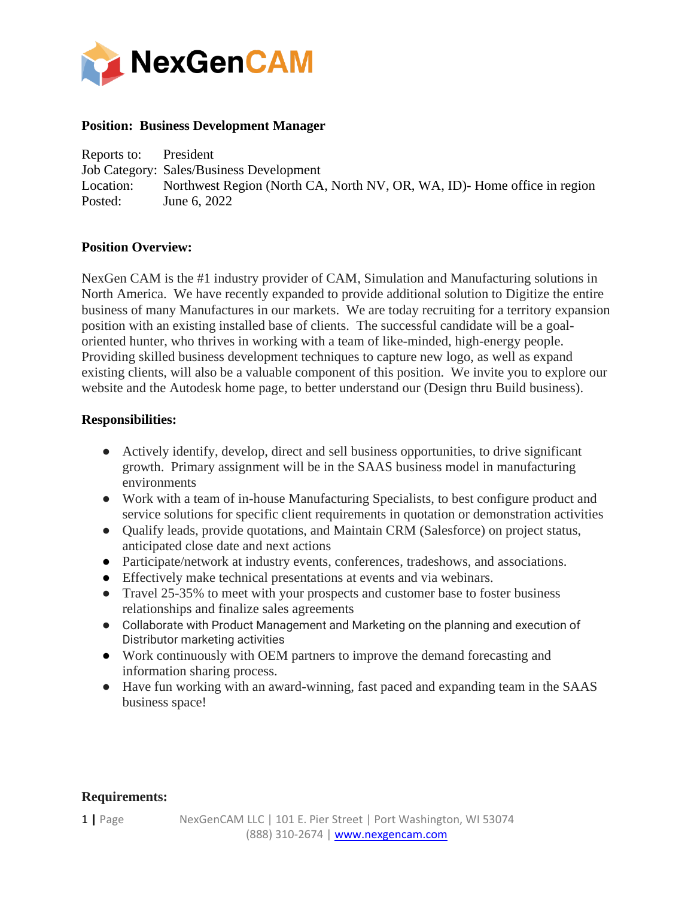

## **Position: Business Development Manager**

Reports to: President Job Category: Sales/Business Development Location: Northwest Region (North CA, North NV, OR, WA, ID)- Home office in region Posted: June 6, 2022

## **Position Overview:**

NexGen CAM is the #1 industry provider of CAM, Simulation and Manufacturing solutions in North America. We have recently expanded to provide additional solution to Digitize the entire business of many Manufactures in our markets. We are today recruiting for a territory expansion position with an existing installed base of clients. The successful candidate will be a goaloriented hunter, who thrives in working with a team of like-minded, high-energy people. Providing skilled business development techniques to capture new logo, as well as expand existing clients, will also be a valuable component of this position. We invite you to explore our website and the Autodesk home page, to better understand our (Design thru Build business).

## **Responsibilities:**

- Actively identify, develop, direct and sell business opportunities, to drive significant growth. Primary assignment will be in the SAAS business model in manufacturing environments
- Work with a team of in-house Manufacturing Specialists, to best configure product and service solutions for specific client requirements in quotation or demonstration activities
- Qualify leads, provide quotations, and Maintain CRM (Salesforce) on project status, anticipated close date and next actions
- Participate/network at industry events, conferences, tradeshows, and associations.
- Effectively make technical presentations at events and via webinars.
- Travel 25-35% to meet with your prospects and customer base to foster business relationships and finalize sales agreements
- Collaborate with Product Management and Marketing on the planning and execution of Distributor marketing activities
- Work continuously with OEM partners to improve the demand forecasting and information sharing process.
- Have fun working with an award-winning, fast paced and expanding team in the SAAS business space!

## **Requirements:**